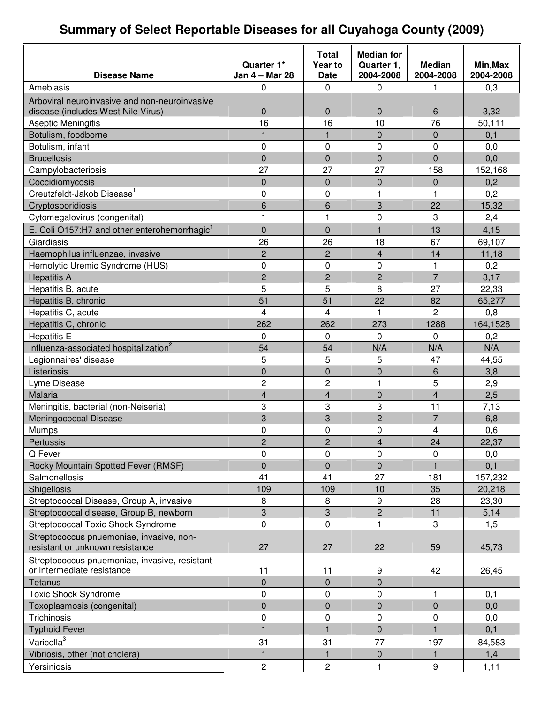# **Summary of Select Reportable Diseases for all Cuyahoga County (2009)**

|                                                                             |                              | <b>Total</b>            | <b>Median for</b>       |                            |                       |
|-----------------------------------------------------------------------------|------------------------------|-------------------------|-------------------------|----------------------------|-----------------------|
| <b>Disease Name</b>                                                         | Quarter 1*<br>Jan 4 - Mar 28 | Year to<br><b>Date</b>  | Quarter 1,<br>2004-2008 | <b>Median</b><br>2004-2008 | Min, Max<br>2004-2008 |
| Amebiasis                                                                   | 0                            | 0                       | 0                       | 1                          | 0,3                   |
| Arboviral neuroinvasive and non-neuroinvasive                               |                              |                         |                         |                            |                       |
| disease (includes West Nile Virus)                                          | 0                            | 0                       | $\mathbf{0}$            | 6                          | 3,32                  |
| Aseptic Meningitis                                                          | 16                           | 16                      | 10                      | 76                         | 50,111                |
| Botulism, foodborne                                                         | $\mathbf{1}$                 | $\mathbf{1}$            | $\mathbf 0$             | 0                          | 0,1                   |
| Botulism, infant                                                            | 0                            | $\mathbf 0$             | $\mathbf 0$             | 0                          | 0,0                   |
| <b>Brucellosis</b>                                                          | 0                            | $\overline{0}$          | $\overline{0}$          | $\overline{0}$             | 0,0                   |
| Campylobacteriosis                                                          | 27                           | 27                      | 27                      | 158                        | 152,168               |
| Coccidiomycosis                                                             | 0                            | 0                       | $\mathbf 0$             | 0                          | 0,2                   |
| Creutzfeldt-Jakob Disease <sup>1</sup>                                      | 0                            | 0                       | 1                       | 1                          | 0,2                   |
| Cryptosporidiosis                                                           | 6                            | 6                       | 3                       | 22                         | 15,32                 |
| Cytomegalovirus (congenital)                                                | 1                            | $\mathbf{1}$            | 0                       | 3                          | 2,4                   |
| E. Coli O157:H7 and other enterohemorrhagic <sup>1</sup>                    | 0                            | $\overline{0}$          | $\mathbf{1}$            | 13                         | 4,15                  |
| Giardiasis                                                                  | 26                           | 26                      | 18                      | 67                         | 69,107                |
| Haemophilus influenzae, invasive                                            | $\overline{c}$               | $\overline{2}$          | $\overline{\mathbf{4}}$ | 14                         | 11,18                 |
| Hemolytic Uremic Syndrome (HUS)                                             | 0                            | 0                       | 0                       | 1                          | 0,2                   |
| <b>Hepatitis A</b>                                                          | $\overline{c}$               | $\overline{c}$          | $\overline{2}$          | $\overline{7}$             | 3,17                  |
| Hepatitis B, acute                                                          | 5                            | 5                       | 8                       | 27                         | 22,33                 |
| Hepatitis B, chronic                                                        | 51                           | 51                      | 22                      | 82                         | 65,277                |
| Hepatitis C, acute                                                          | $\overline{4}$               | 4                       | 1                       | 2                          | 0,8                   |
| Hepatitis C, chronic                                                        | 262                          | 262                     | 273                     | 1288                       | 164,1528              |
| <b>Hepatitis E</b>                                                          | 0                            | 0                       | 0                       | $\Omega$                   | 0,2                   |
| Influenza-associated hospitalization <sup>2</sup>                           | 54                           | 54                      | N/A                     | N/A                        | N/A                   |
| Legionnaires' disease                                                       | 5                            | 5                       | 5                       | 47                         | 44,55                 |
| Listeriosis                                                                 | 0                            | $\overline{0}$          | $\overline{0}$          | 6                          | 3,8                   |
| Lyme Disease                                                                | 2                            | 2                       | 1                       | 5                          | 2,9                   |
| Malaria                                                                     | 4                            | $\overline{\mathbf{4}}$ | $\overline{0}$          | 4                          | 2,5                   |
| Meningitis, bacterial (non-Neiseria)                                        | 3                            | 3                       | 3                       | 11                         | 7,13                  |
| Meningococcal Disease                                                       | 3                            | 3                       | $\overline{c}$          | $\overline{7}$             | 6,8                   |
| <b>Mumps</b>                                                                | 0                            | 0                       | $\mathbf 0$             | 4                          | 0,6                   |
| Pertussis                                                                   | $\mathbf{c}$                 | $\mathcal{D}$           | $\overline{\mathbf{4}}$ | 24                         | 22,37                 |
| Q Fever                                                                     | 0                            | 0                       | 0                       | 0                          | 0,0                   |
| Rocky Mountain Spotted Fever (RMSF)                                         | 0                            | 0                       | $\mathbf 0$             |                            | 0,1                   |
| Salmonellosis                                                               | 41                           | 41                      | 27                      | 181                        | 157,232               |
| Shigellosis                                                                 | 109                          | 109                     | 10                      | 35                         | 20,218                |
| Streptococcal Disease, Group A, invasive                                    | 8                            | 8                       | 9                       | 28                         | 23,30                 |
| Streptococcal disease, Group B, newborn                                     | 3                            | 3                       | $\overline{2}$          | 11                         | 5,14                  |
| Streptococcal Toxic Shock Syndrome                                          | 0                            | 0                       | 1                       | 3                          | 1,5                   |
| Streptococcus pnuemoniae, invasive, non-<br>resistant or unknown resistance | 27                           | 27                      | 22                      | 59                         | 45,73                 |
| Streptococcus pnuemoniae, invasive, resistant                               |                              |                         |                         |                            |                       |
| or intermediate resistance                                                  | 11                           | 11                      | 9                       | 42                         | 26,45                 |
| Tetanus                                                                     | $\overline{0}$               | $\overline{0}$          | $\overline{0}$          |                            |                       |
| <b>Toxic Shock Syndrome</b>                                                 | 0                            | $\pmb{0}$               | 0                       | 1                          | 0,1                   |
| Toxoplasmosis (congenital)                                                  | 0                            | 0                       | $\pmb{0}$               | $\pmb{0}$                  | 0,0                   |
| Trichinosis                                                                 | 0                            | 0                       | 0                       | 0                          | 0,0                   |
| <b>Typhoid Fever</b>                                                        | $\mathbf{1}$                 | $\mathbf{1}$            | $\overline{0}$          | 1                          | 0,1                   |
| Varicella <sup>3</sup>                                                      | 31                           | 31                      | 77                      | 197                        | 84,583                |
| Vibriosis, other (not cholera)                                              | 1                            | 1                       | $\mathbf 0$             | 1                          | 1,4                   |
| Yersiniosis                                                                 | $\overline{c}$               | $\overline{c}$          | $\mathbf{1}$            | $\boldsymbol{9}$           | 1,11                  |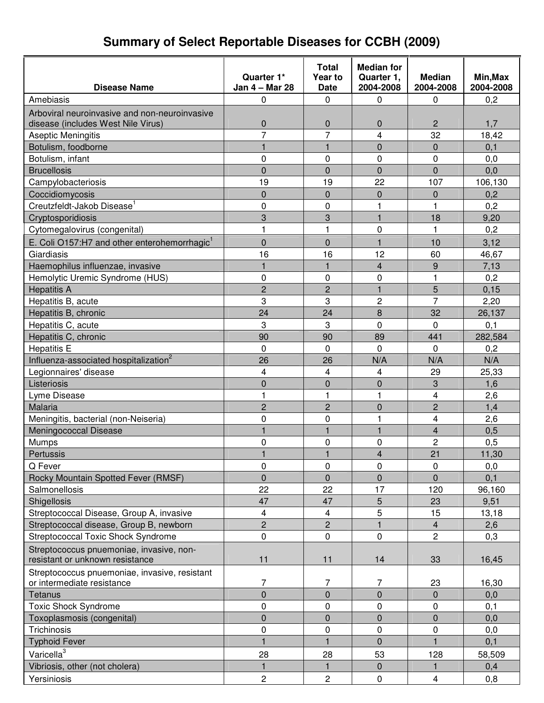#### **Disease Name Quarter 1\* Jan 4 – Mar 28 Total Year to Date Median for Quarter 1, 2004-2008 Median 2004-2008 Min,Max 2004-2008** Amebiasis | 0 | 0 | 0 | 0,2 Arboviral neuroinvasive and non-neuroinvasive disease (includes West Nile Virus) 0 0 0 2 1,7 Aseptic Meningitis 7 7 4 32 18,42 Botulism, foodborne 1 1 1 0 0 0,1 Botulism, infant 0 0 0 0 0,0 Brucellosis | 0 | 0 | 0 | 0,0 Campylobacteriosis 19 19 22 107 106,130  $\text{Coccidiomvcosis}$  0 0 0,2 Creutzfeldt-Jakob Disease 1 0 0 1 1 0,2 Cryptosporidiosis 3 3 1 18 9,20 Cytomegalovirus (congenital)  $\begin{array}{cccc} \vert & 1 \vert & 1 \vert & 0 \vert & 1 \end{array}$  0  $\begin{array}{cccc} \vert & 0,2 \end{array}$ E. Coli O157:H7 and other enterohemorrhagic<sup>1</sup> 0 0 1 10 3,12 Giardiasis 16 16 12 60 46,67 Haemophilus influenzae, invasive 1 1 4 9 7,13 Hemolytic Uremic Syndrome (HUS)  $\begin{array}{cccc} | & 0 & | & 0 & | & 1 & | & 0,2 \end{array}$ Hepatitis A 2 2 1 5 0,15 Hepatitis B, acute 3 3 2 7 2,20 Hepatitis B, chronic **24** 24 24 8 32 26,137 Hepatitis C, acute **3** 0 0 0,1 Hepatitis C, chronic **EXEC 89 1** 90 90 89 89 441 282,584 Hepatitis E | 0 | 0 | 0 | 0,2 Influenza-associated hospitalization 2 26 | 26 | N/A | N/A | N/A Legionnaires' disease 4 4 4 29 25,33 Listeriosis 0 0 0 3 1,6 Lyme Disease 1 1 1 1 1 1 4 2,6 Malaria 2 2 0 2 1,4 Meningitis, bacterial (non-Neiseria) 0 0 1 4 2,6 Meningococcal Disease 1 1 1 1 1 1 1 4 0,5 Mumps 0 0 0 2 0,5 Pertussis 1 1 4 21 11,30 Q Fever 0 0 0 0 0,0 Rocky Mountain Spotted Fever (RMSF) 0 0 0 0 0,1 Salmonellosis 22 22 17 120 96,160 Shigellosis 47 47 5 23 9,51 Streptococcal Disease, Group A, invasive 4 4 5 15 13,18 Streptococcal disease, Group B, newborn 2 2 1 4 2,6 Streptococcal Toxic Shock Syndrome 0 0 0 2 0,3 Streptococcus pnuemoniae, invasive, nonresistant or unknown resistance  $\vert$  11 11 11 14 33 16.45 Streptococcus pnuemoniae, invasive, resistant or intermediate resistance and the T  $\vert$  7  $\vert$  7  $\vert$  23 16,30 Tetanus 0 0 0 0 0,0 Toxic Shock Syndrome 0 0 0 0 0,1 Toxoplasmosis (congenital) and the control of the control of the control of the control of the control of the control of the control of the control of the control of the control of the control of the control of the control Trichinosis | 0 | 0 | 0 | 0,0 0,0 Typhoid Fever 1 1 0 1 0,1 Varicella<sup>3</sup> 28 28 53 128 58,509 Vibriosis, other (not cholera) 1 1 1 0 1 0,4 Yersiniosis | 2 | 2 | 0 4 | 0,8

#### **Summary of Select Reportable Diseases for CCBH (2009)**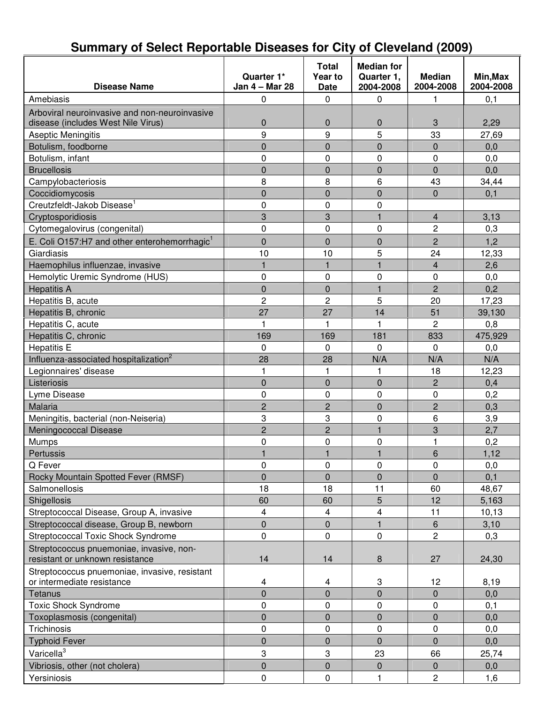| <b>Disease Name</b>                                      | Quarter 1*<br>Jan 4 - Mar 28 | Total<br>Year to<br><b>Date</b> | <b>Median for</b><br>Quarter 1,<br>2004-2008 | <b>Median</b><br>2004-2008 | Min, Max<br>2004-2008 |
|----------------------------------------------------------|------------------------------|---------------------------------|----------------------------------------------|----------------------------|-----------------------|
| Amebiasis                                                |                              | $\mathbf 0$                     | $\mathbf 0$                                  |                            |                       |
|                                                          | 0                            |                                 |                                              | 1                          | 0,1                   |
| Arboviral neuroinvasive and non-neuroinvasive            |                              |                                 |                                              |                            |                       |
| disease (includes West Nile Virus)                       | 0                            | $\mathbf 0$                     | $\mathbf 0$                                  | 3                          | 2,29                  |
| Aseptic Meningitis                                       | 9                            | 9                               | 5                                            | 33                         | 27,69                 |
| Botulism, foodborne                                      | $\overline{0}$<br>0          | $\overline{0}$<br>0             | $\overline{0}$                               | $\Omega$                   | 0,0                   |
| Botulism, infant                                         |                              |                                 | 0                                            | $\mathbf 0$                | 0,0                   |
| <b>Brucellosis</b>                                       | $\overline{0}$               | $\overline{0}$                  | $\overline{0}$                               | $\mathbf 0$                | 0,0                   |
| Campylobacteriosis                                       | 8                            | 8                               | 6                                            | 43                         | 34,44                 |
| Coccidiomycosis                                          | 0                            | $\overline{0}$                  | $\overline{0}$                               | $\mathbf 0$                | 0,1                   |
| Creutzfeldt-Jakob Disease <sup>1</sup>                   | 0                            | 0                               | 0                                            |                            |                       |
| Cryptosporidiosis                                        | 3                            | 3                               | $\mathbf{1}$                                 | $\overline{\mathbf{4}}$    | 3,13                  |
| Cytomegalovirus (congenital)                             | 0                            | 0                               | 0                                            | 2                          | 0,3                   |
| E. Coli O157:H7 and other enterohemorrhagic <sup>1</sup> | 0                            | 0                               | 0                                            | $\overline{c}$             | 1,2                   |
| Giardiasis                                               | 10                           | 10                              | 5                                            | 24                         | 12,33                 |
| Haemophilus influenzae, invasive                         | $\mathbf{1}$                 | $\mathbf{1}$                    | 1                                            | 4                          | 2,6                   |
| Hemolytic Uremic Syndrome (HUS)                          | 0                            | 0                               | 0                                            | 0                          | 0,0                   |
| <b>Hepatitis A</b>                                       | $\overline{0}$               | $\overline{0}$                  | $\mathbf{1}$                                 | $\overline{c}$             | 0,2                   |
| Hepatitis B, acute                                       | $\overline{2}$               | $\overline{c}$                  | 5                                            | 20                         | 17,23                 |
| Hepatitis B, chronic                                     | 27                           | 27                              | 14                                           | 51                         | 39,130                |
| Hepatitis C, acute                                       | $\mathbf{1}$                 | 1                               | $\overline{1}$                               | $\overline{c}$             | 0,8                   |
| Hepatitis C, chronic                                     | 169                          | 169                             | 181                                          | 833                        | 475,929               |
| <b>Hepatitis E</b>                                       | 0                            | $\mathbf 0$                     | $\Omega$                                     | $\Omega$                   | 0,0                   |
| Influenza-associated hospitalization <sup>2</sup>        | 28                           | 28                              | N/A                                          | N/A                        | N/A                   |
| Legionnaires' disease                                    | 1                            | 1                               | 1                                            | 18                         | 12,23                 |
| Listeriosis                                              | $\overline{0}$               | $\overline{0}$                  | $\overline{0}$                               | $\overline{2}$             | 0,4                   |
| Lyme Disease                                             | 0                            | $\pmb{0}$                       | 0                                            | $\pmb{0}$                  | 0,2                   |
| Malaria                                                  | $\overline{c}$               | $\overline{c}$                  | $\overline{0}$                               | $\overline{2}$             | 0,3                   |
| Meningitis, bacterial (non-Neiseria)                     | 3                            | 3                               | 0                                            | 6                          | 3,9                   |
| Meningococcal Disease                                    | $\overline{c}$               | $\overline{c}$                  | $\overline{1}$                               | 3                          | 2,7                   |
| Mumps                                                    | 0                            | 0                               | 0                                            |                            | 0,2                   |
| Pertussis                                                |                              |                                 | 1                                            | 6                          | 1,12                  |
| Q Fever                                                  | 0                            | 0                               | 0                                            | 0                          | 0,0                   |
| Rocky Mountain Spotted Fever (RMSF)                      | $\overline{0}$               | $\overline{0}$                  | $\overline{0}$                               | $\mathbf 0$                | 0,1                   |
| Salmonellosis                                            | 18                           | 18                              | 11                                           | 60                         | 48,67                 |
| Shigellosis                                              | 60                           | 60                              | 5                                            | 12                         | 5,163                 |
| Streptococcal Disease, Group A, invasive                 | 4                            | 4                               | 4                                            | 11                         | 10, 13                |
| Streptococcal disease, Group B, newborn                  | 0                            | 0                               | 1                                            | $6\,$                      | 3,10                  |
| <b>Streptococcal Toxic Shock Syndrome</b>                | 0                            | $\pmb{0}$                       | $\mathbf 0$                                  | $\overline{2}$             | 0,3                   |
| Streptococcus pnuemoniae, invasive, non-                 |                              |                                 |                                              |                            |                       |
| resistant or unknown resistance                          | 14                           | 14                              | 8                                            | 27                         | 24,30                 |
| Streptococcus pnuemoniae, invasive, resistant            |                              |                                 |                                              |                            |                       |
| or intermediate resistance                               | 4                            | 4                               | 3                                            | 12                         | 8,19                  |
| Tetanus                                                  | 0                            | $\mathsf 0$                     | 0                                            | $\mathbf 0$                | 0,0                   |
| <b>Toxic Shock Syndrome</b>                              | 0                            | 0                               | 0                                            | $\mathbf 0$                | 0,1                   |
| Toxoplasmosis (congenital)                               | 0                            | $\overline{0}$                  | $\overline{0}$                               | $\overline{0}$             | 0,0                   |
| Trichinosis                                              | 0                            | $\pmb{0}$                       | 0                                            | $\pmb{0}$                  | 0,0                   |
| <b>Typhoid Fever</b>                                     | 0                            | 0                               | 0                                            | $\mathbf{0}$               | 0,0                   |
| Varicella <sup>3</sup>                                   | 3                            | 3                               | 23                                           | 66                         | 25,74                 |
| Vibriosis, other (not cholera)                           | $\overline{0}$               | $\mathbf 0$                     | 0                                            | $\mathbf 0$                |                       |
|                                                          |                              |                                 |                                              |                            | 0,0                   |
| Yersiniosis                                              | 0                            | 0                               | 1                                            | $\overline{c}$             | 1,6                   |

## **Summary of Select Reportable Diseases for City of Cleveland (2009)**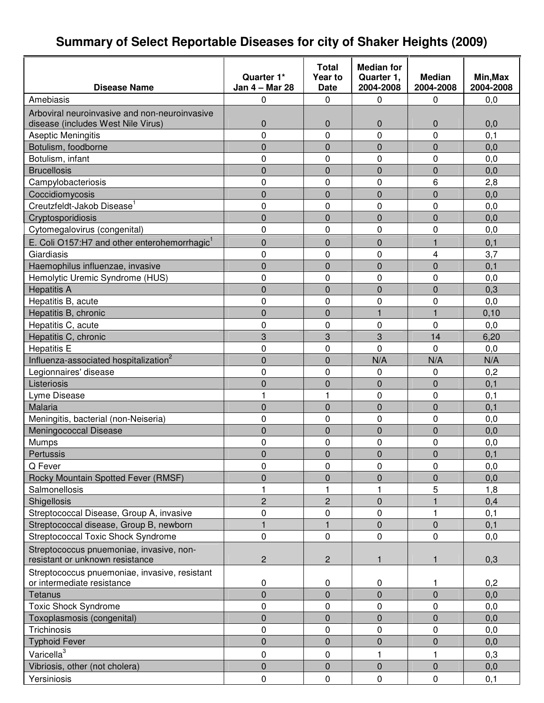# **Summary of Select Reportable Diseases for city of Shaker Heights (2009)**

|                                                                             |                | <b>Total</b>   | <b>Median for</b> |               |           |
|-----------------------------------------------------------------------------|----------------|----------------|-------------------|---------------|-----------|
|                                                                             | Quarter 1*     | Year to        | Quarter 1,        | <b>Median</b> | Min, Max  |
| <b>Disease Name</b>                                                         | Jan 4 - Mar 28 | <b>Date</b>    | 2004-2008         | 2004-2008     | 2004-2008 |
| Amebiasis                                                                   | 0              | 0              | 0                 | 0             | 0,0       |
| Arboviral neuroinvasive and non-neuroinvasive                               |                |                |                   |               |           |
| disease (includes West Nile Virus)                                          | $\mathbf 0$    | 0              | 0                 | $\mathbf 0$   | 0,0       |
| Aseptic Meningitis                                                          | 0              | 0              | 0                 | 0             | 0,1       |
| Botulism, foodborne                                                         | $\overline{0}$ | 0              | 0                 | $\mathbf 0$   | 0,0       |
| Botulism, infant                                                            | $\mathbf 0$    | 0              | 0                 | 0             | 0,0       |
| <b>Brucellosis</b>                                                          | 0              | 0              | 0                 | $\mathbf 0$   | 0,0       |
| Campylobacteriosis                                                          | $\mathbf 0$    | 0              | 0                 | 6             | 2,8       |
| Coccidiomycosis                                                             | $\overline{0}$ | 0              | $\overline{0}$    | $\mathbf 0$   | 0,0       |
| Creutzfeldt-Jakob Disease <sup>1</sup>                                      | $\mathbf 0$    | 0              | 0                 | 0             | 0,0       |
| Cryptosporidiosis                                                           | $\mathbf 0$    | 0              | 0                 | $\mathbf 0$   | 0,0       |
| Cytomegalovirus (congenital)                                                | $\mathbf 0$    | 0              | 0                 | 0             | 0,0       |
| E. Coli O157:H7 and other enterohemorrhagic <sup>1</sup>                    | $\overline{0}$ | 0              | 0                 | 1             | 0,1       |
| Giardiasis                                                                  | 0              | 0              | 0                 | 4             | 3,7       |
| Haemophilus influenzae, invasive                                            | $\mathbf 0$    | 0              | $\overline{0}$    | $\mathbf 0$   | 0,1       |
| Hemolytic Uremic Syndrome (HUS)                                             | $\mathbf 0$    | 0              | 0                 | 0             | 0,0       |
| <b>Hepatitis A</b>                                                          | $\overline{0}$ | 0              | $\overline{0}$    | $\mathbf 0$   | 0,3       |
| Hepatitis B, acute                                                          | $\mathbf 0$    | 0              | 0                 | 0             | 0,0       |
| Hepatitis B, chronic                                                        | $\overline{0}$ | $\overline{0}$ | 1                 | $\mathbf{1}$  | 0, 10     |
| Hepatitis C, acute                                                          | $\mathbf 0$    | 0              | 0                 | 0             | 0,0       |
| Hepatitis C, chronic                                                        | 3              | 3              | 3                 | 14            | 6,20      |
| <b>Hepatitis E</b>                                                          | $\mathbf 0$    | 0              | $\overline{0}$    | $\Omega$      | 0,0       |
| Influenza-associated hospitalization <sup>2</sup>                           | $\overline{0}$ | 0              | N/A               | N/A           | N/A       |
| Legionnaires' disease                                                       | $\mathbf 0$    | 0              | 0                 | 0             | 0,2       |
| Listeriosis                                                                 | 0              | 0              | 0                 | $\mathbf 0$   | 0,1       |
| Lyme Disease                                                                |                | 1              | 0                 | 0             | 0,1       |
| Malaria                                                                     | $\overline{0}$ | 0              | $\overline{0}$    | $\mathbf 0$   | 0,1       |
| Meningitis, bacterial (non-Neiseria)                                        | $\mathbf 0$    | 0              | 0                 | 0             | 0,0       |
|                                                                             |                |                |                   |               |           |
| Meningococcal Disease                                                       | $\overline{0}$ | 0              | 0                 | $\mathbf 0$   | 0,0       |
| Mumps                                                                       | $\mathbf 0$    | 0              | 0                 | 0             | 0,0       |
| Pertussis                                                                   | $\overline{0}$ | 0              | 0                 | $\mathbf 0$   | 0,1       |
| Q Fever                                                                     | 0              | 0              | 0                 | 0             | 0,0       |
| Rocky Mountain Spotted Fever (RMSF)                                         | 0              | 0              | 0                 | 0             | 0,0       |
| Salmonellosis                                                               | 1              | 1              | 1                 | 5             | 1,8       |
| Shigellosis                                                                 | $\overline{c}$ | $\overline{c}$ | 0                 |               | 0,4       |
| Streptococcal Disease, Group A, invasive                                    | 0              | 0              | 0                 | 1             | 0,1       |
| Streptococcal disease, Group B, newborn                                     | 1              | 1              | 0                 | $\pmb{0}$     | 0,1       |
| <b>Streptococcal Toxic Shock Syndrome</b>                                   | 0              | 0              | 0                 | 0             | 0,0       |
| Streptococcus pnuemoniae, invasive, non-<br>resistant or unknown resistance | $\overline{c}$ | $\overline{c}$ | 1                 | $\mathbf{1}$  | 0,3       |
| Streptococcus pnuemoniae, invasive, resistant                               |                |                |                   |               |           |
| or intermediate resistance                                                  | 0              | 0              | $\mathbf 0$       | 1             | 0,2       |
| <b>Tetanus</b>                                                              | $\overline{0}$ | 0              | 0                 | $\mathbf 0$   | 0,0       |
| <b>Toxic Shock Syndrome</b>                                                 | 0              | 0              | 0                 | 0             | 0,0       |
| Toxoplasmosis (congenital)                                                  | $\mathbf 0$    | 0              | 0                 | $\mathbf 0$   | 0,0       |
| Trichinosis                                                                 | 0              | 0              | 0                 | 0             | 0,0       |
| <b>Typhoid Fever</b>                                                        | $\overline{0}$ | 0              | 0                 | $\mathbf 0$   | 0,0       |
| Varicella <sup>3</sup>                                                      | 0              | 0              | 1                 | 1             | 0,3       |
| Vibriosis, other (not cholera)                                              | $\mathbf 0$    | 0              | 0                 | $\mathbf 0$   | 0,0       |
| Yersiniosis                                                                 | $\pmb{0}$      | $\pmb{0}$      | $\pmb{0}$         | $\pmb{0}$     | 0,1       |